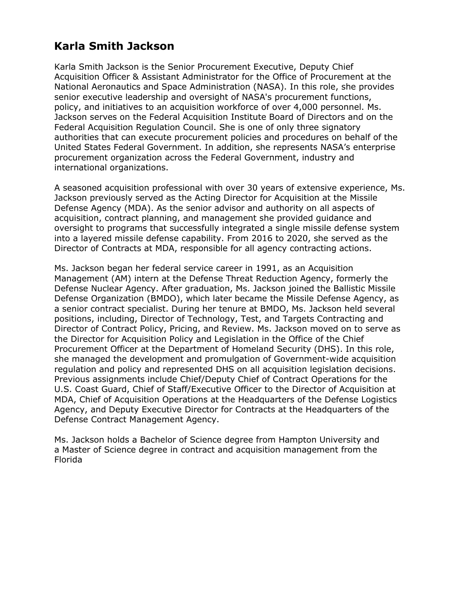## **Karla Smith Jackson**

Karla Smith Jackson is the Senior Procurement Executive, Deputy Chief Acquisition Officer & Assistant Administrator for the Office of Procurement at the National Aeronautics and Space Administration (NASA). In this role, she provides senior executive leadership and oversight of NASA's procurement functions, policy, and initiatives to an acquisition workforce of over 4,000 personnel. Ms. Jackson serves on the Federal Acquisition Institute Board of Directors and on the Federal Acquisition Regulation Council. She is one of only three signatory authorities that can execute procurement policies and procedures on behalf of the United States Federal Government. In addition, she represents NASA's enterprise procurement organization across the Federal Government, industry and international organizations.

A seasoned acquisition professional with over 30 years of extensive experience, Ms. Jackson previously served as the Acting Director for Acquisition at the Missile Defense Agency (MDA). As the senior advisor and authority on all aspects of acquisition, contract planning, and management she provided guidance and oversight to programs that successfully integrated a single missile defense system into a layered missile defense capability. From 2016 to 2020, she served as the Director of Contracts at MDA, responsible for all agency contracting actions.

Ms. Jackson began her federal service career in 1991, as an Acquisition Management (AM) intern at the Defense Threat Reduction Agency, formerly the Defense Nuclear Agency. After graduation, Ms. Jackson joined the Ballistic Missile Defense Organization (BMDO), which later became the Missile Defense Agency, as a senior contract specialist. During her tenure at BMDO, Ms. Jackson held several positions, including, Director of Technology, Test, and Targets Contracting and Director of Contract Policy, Pricing, and Review. Ms. Jackson moved on to serve as the Director for Acquisition Policy and Legislation in the Office of the Chief Procurement Officer at the Department of Homeland Security (DHS). In this role, she managed the development and promulgation of Government-wide acquisition regulation and policy and represented DHS on all acquisition legislation decisions. Previous assignments include Chief/Deputy Chief of Contract Operations for the U.S. Coast Guard, Chief of Staff/Executive Officer to the Director of Acquisition at MDA, Chief of Acquisition Operations at the Headquarters of the Defense Logistics Agency, and Deputy Executive Director for Contracts at the Headquarters of the Defense Contract Management Agency.

Ms. Jackson holds a Bachelor of Science degree from Hampton University and a Master of Science degree in contract and acquisition management from the Florida